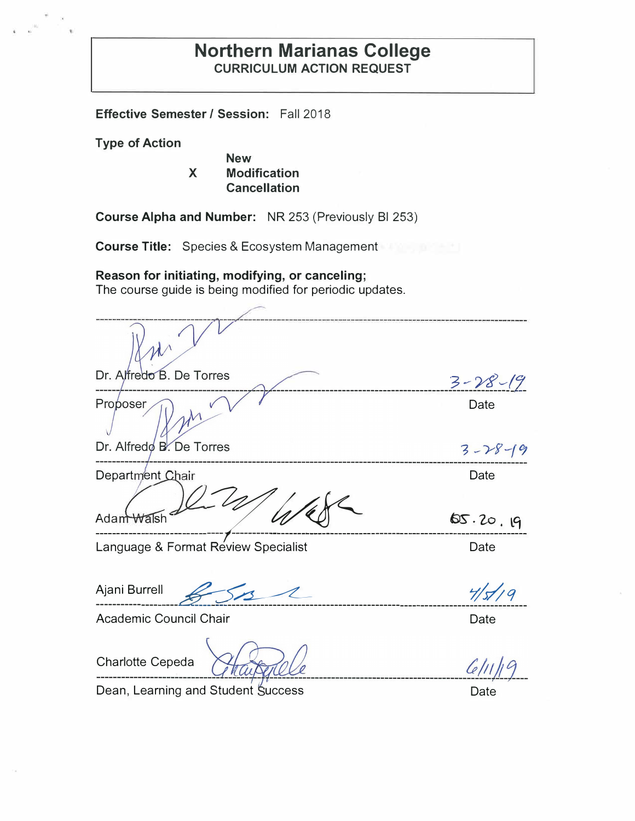### **Northern Marianas College CURRICULUM ACTION REQUEST**

**Effective Semester/ Session:** Fall 2018

**Type of Action** 

**New X Modification Cancellation** 

**Course Alpha and Number:** NR 253 (Previously Bl 253)

**Course Title:** Species & Ecosystem Management

**Reason for initiating, modifying, or canceling;** 

The course guide is being modified for periodic updates.

Dr. Alfredo B. De Torres 3 -- *yg> ,\_,(C/*  **-- -----------------------------------------------------------1--** Proposer Date Dr. Alfredo B. De Torres  $3 - 28 - 19$ Department Chair **Example 2018** Date  $AdamWalkb-4$  65.20.19 Language & Format Review Specialist **Date** Date Ajani Burrell <del>653</del>4 Participal 4/5//9  $-1/5/7/9$ Academic Council Chair Date

Charlotte Cepeda

ČII

Dean, Learning and Student Success

Date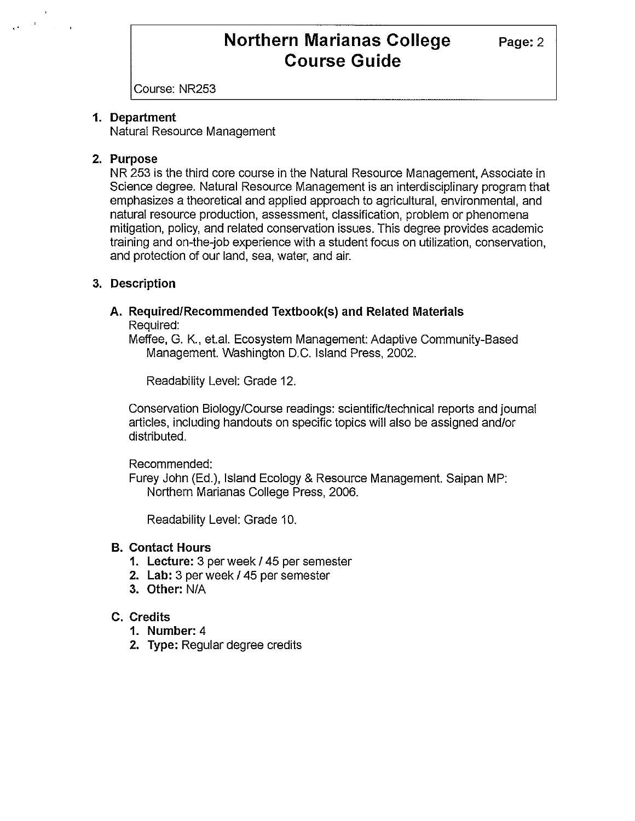### **Northern Marianas College** Page: 2 **Course Guide**

Course: NR253

#### **1. Department**

Natural Resource Management

#### **2. Purpose**

NR 253 is the third core course in the Natural Resource Management, Associate in Science degree. Natural Resource Management is an interdisciplinary program that emphasizes a theoretical and applied approach to agricultural, environmental, and natural resource production, assessment, classification, problem or phenomena mitigation, policy, and related conservation issues. This degree provides academic training and on-the-job experience with a student focus on utilization, conservation, and protection of our land, sea, water, and air.

### **3. Description**

#### **A. Required/Recommended Textbook(s) and Related Materials**  Required:

Meffee, G. K., et.al. Ecosystem Management: Adaptive Community-Based Management. Washington D.C. Island Press, 2002.

Readability Level: Grade 12.

Conservation Biology/Course readings: scientific/technical reports and journal articles, including handouts on specific topics will also be assigned and/or distributed.

Recommended:

Furey John (Ed.), Island Ecology & Resource Management. Saipan MP: Northern Marianas College Press, 2006.

Readability Level: Grade 10.

#### **B. Contact Hours**

- **1. Lecture:** 3 per week/ 45 per semester
- **2. Lab:** 3 per week / 45 per semester
- **3. Other:** N/A

#### **C. Credits**

- **1. Number:** 4
- **2. Type:** Regular degree credits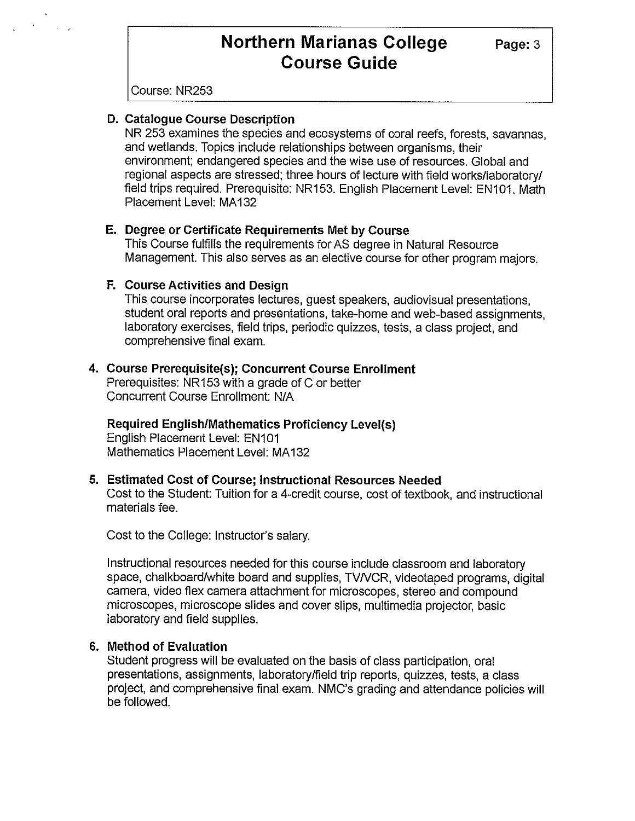# **Northern Marianas College** Page: 3 **Course Guide**

Course: NR253

#### **D. Catalogue Course Description**

NR 253 examines the species and ecosystems of coral reefs, forests, savannas, and wetlands. Topics include relationships between organisms, their environment; endangered species and the wise use of resources. Global and regional aspects are stressed; three hours of lecture with field works/laboratory/ field trips required. Prerequisite: NR153. English Placement Level: EN101. Math Placement Level: MA132

#### **E. Degree or Certificate Requirements Met by Course**

This Course fulfills the requirements for AS degree in Natural Resource Management. This also serves as an elective course for other program majors.

#### **F. Course Activities and Design**

This course incorporates lectures, guest speakers, audiovisual presentations, student oral reports and presentations, take-home and web-based assignments, laboratory exercises, field trips, periodic quizzes, tests, a class project, and comprehensive final exam.

#### **4. Course Prerequisite(s); Concurrent Course Enrollment**

Prerequisites: NR153 with a grade of C or better Concurrent Course Enrollment: N/A

**Required English/Mathematics Proficiency Level(s)**  English Placement Level: EN101 Mathematics Placement Level: MA132

#### **5. Estimated Cost of Course; Instructional Resources Needed**

Cost to the Student: Tuition for a 4-credit course, cost of textbook, and instructional materials fee.

Cost to the College: Instructor's salary.

Instructional resources needed for this course include classroom and laboratory space, chalkboard/white board and supplies, TVNCR, videotaped programs, digital camera, video flex camera attachment for microscopes, stereo and compound microscopes, microscope slides and cover slips, multimedia projector, basic laboratory and field supplies.

#### **6. Method of Evaluation**

Student progress will be evaluated on the basis of class participation, oral presentations, assignments, laboratory/field trip reports, quizzes, tests, a class project, and comprehensive final exam. NMC's grading and attendance policies will be followed.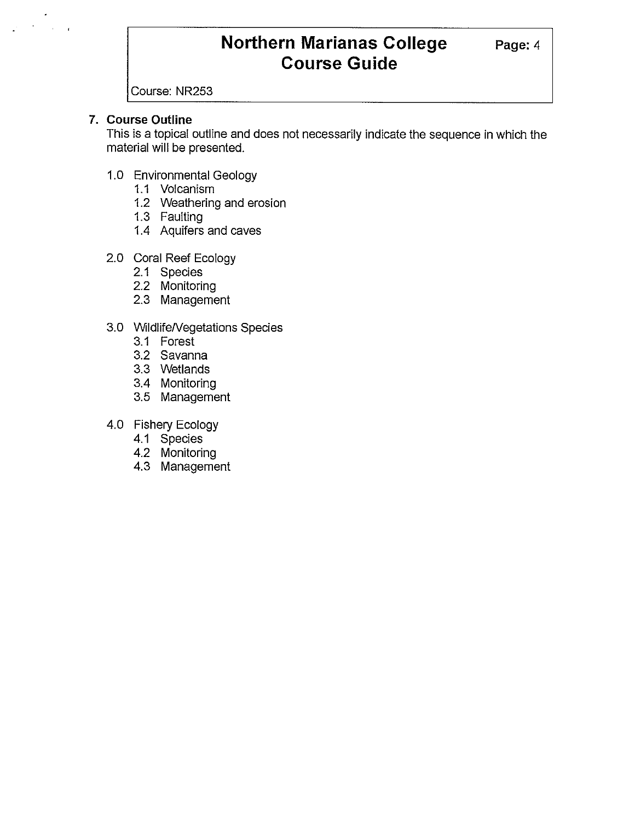# **Northern Marianas College** Page: 4 **Course Guide**

Course: NR253

#### **7. Course Outline**

This is a topical outline and does not necessarily indicate the sequence in which the material will be presented.

- 1.0 Environmental Geology
	- 1.1 Volcanism
	- 1.2 Weathering and erosion
	- 1.3 Faulting
	- 1.4 Aquifers and caves
- 2.0 Coral Reef Ecology
	- 2.1 Species
	- 2.2 Monitoring
	- 2.3 Management
- 3.0 WildlifeNegetations Species
	- 3.1 Forest
	- 3.2 Savanna
	- 3.3 Wetlands
	- 3.4 Monitoring
	- 3.5 Management
- 4.0 Fishery Ecology
	- 4.1 Species
	- 4.2 Monitoring
	- 4.3 Management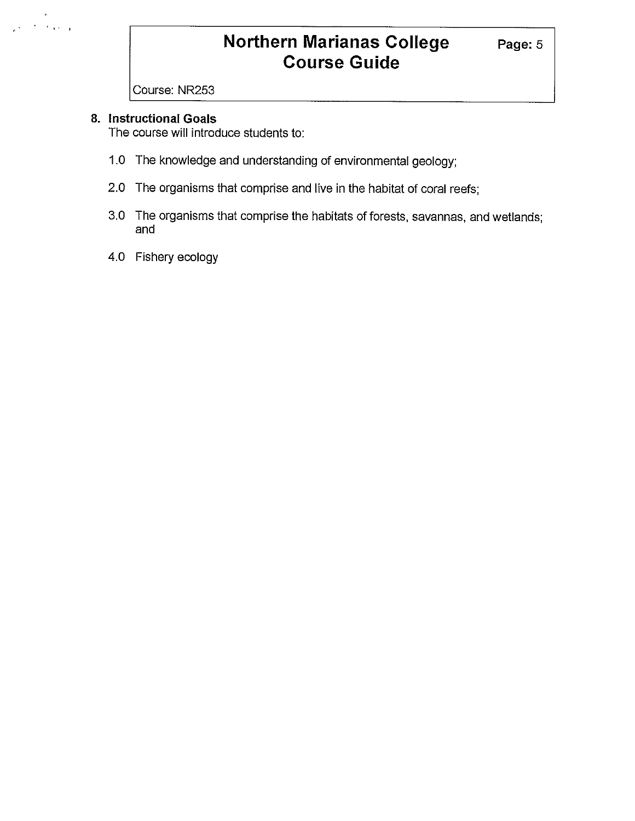# **Northern Marianas College** Page: 5 **Course Guide**

Course: NR253

#### **8. Instructional Goals**

 $\hat{\mathbf{v}}$  $\mathcal{F}_{\mathbf{A}}$  and  $\mathcal{F}_{\mathbf{A}}$ 

The course will introduce students to:

- 1.0 The knowledge and understanding of environmental geology;
- 2.0 The organisms that comprise and live in the habitat of coral reefs;
- 3.0 The organisms that comprise the habitats of forests, savannas, and wetlands; and
- 4.0 Fishery ecology